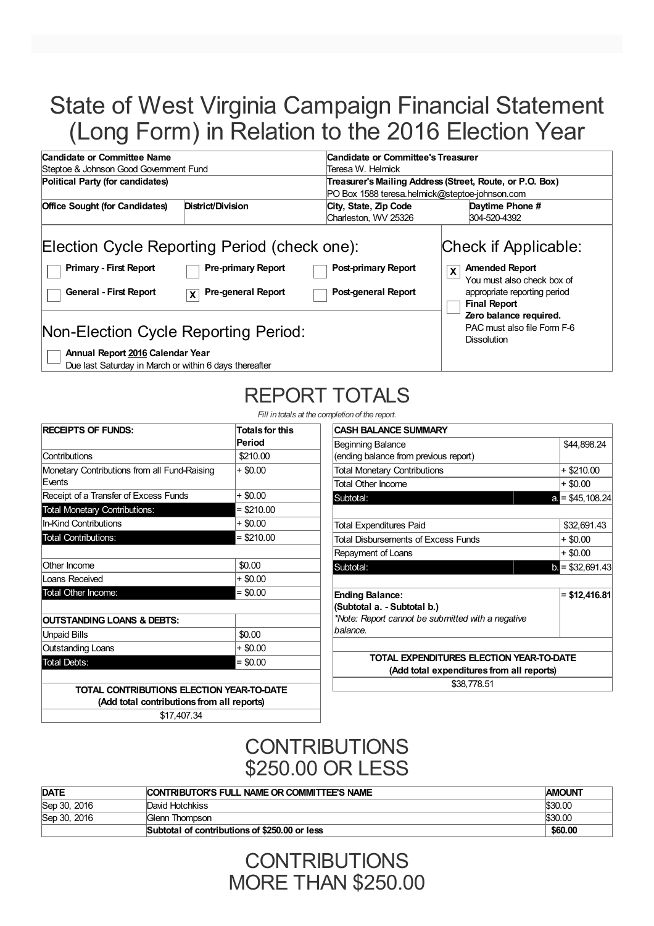# State of West Virginia Campaign Financial Statement (Long Form) in Relation to the 2016 Election Year

| Candidate or Committee Name<br>Candidate or Committee's Treasurer                            |                                                                                                                                                                                                                                   |  |  |  |
|----------------------------------------------------------------------------------------------|-----------------------------------------------------------------------------------------------------------------------------------------------------------------------------------------------------------------------------------|--|--|--|
| Teresa W. Helmick                                                                            |                                                                                                                                                                                                                                   |  |  |  |
| Political Party (for candidates)<br>Treasurer's Mailing Address (Street, Route, or P.O. Box) |                                                                                                                                                                                                                                   |  |  |  |
|                                                                                              | PO Box 1588 teresa.helmick@steptoe-johnson.com                                                                                                                                                                                    |  |  |  |
| City, State, Zip Code                                                                        | Daytime Phone #                                                                                                                                                                                                                   |  |  |  |
| Charleston, WV 25326                                                                         | 304-520-4392                                                                                                                                                                                                                      |  |  |  |
| Post-primary Report<br>Post-general Report                                                   | Check if Applicable:<br><b>Amended Report</b><br>$\mathsf{x}$<br>You must also check box of<br>appropriate reporting period<br><b>Final Report</b><br>Zero balance required.<br>PAC must also file Form F-6<br><b>Dissolution</b> |  |  |  |
|                                                                                              | Election Cycle Reporting Period (check one):                                                                                                                                                                                      |  |  |  |

Due last Saturday in March or within 6 days thereafter

# REPORT TOTALS

*Fill in totals at the completion of the report.*

| <b>RECEIPTS OF FUNDS:</b>                              | <b>Totals for this</b><br>Period |
|--------------------------------------------------------|----------------------------------|
| Contributions                                          | \$210.00                         |
| Monetary Contributions from all Fund-Raising<br>Fvents | $+$ \$0.00                       |
| Receipt of a Transfer of Excess Funds                  | + \$0.00                         |
| <b>Total Monetary Contributions:</b>                   | $=$ \$210.00                     |
| <b>In-Kind Contributions</b>                           | + \$0.00                         |
| <b>Total Contributions:</b>                            | $= $210.00$                      |
|                                                        |                                  |
| Other Income                                           | \$0.00                           |
| Loans Received                                         | + \$0.00                         |
| Total Other Income:                                    | $=$ \$0.00                       |
|                                                        |                                  |
| OUTSTANDING LOANS & DEBTS:                             |                                  |
| <b>Unpaid Bills</b>                                    | \$0.00                           |
| Outstanding Loans                                      | + \$0.00                         |
| <b>Total Debts:</b>                                    | $= $0.00$                        |

| <b>CASH BALANCE SUMMARY</b>                       |                         |
|---------------------------------------------------|-------------------------|
| <b>Beginning Balance</b>                          | \$44,898.24             |
| (ending balance from previous report)             |                         |
| <b>Total Monetary Contributions</b>               | + \$210.00              |
| <b>Total Other Income</b>                         | $+$ \$0.00              |
| Subtotal:                                         | a. $=$ \$45,108.24      |
|                                                   |                         |
| Total Expenditures Paid                           | \$32,691.43             |
| Total Disbursements of Excess Funds               | $+$ \$0.00              |
| Repayment of Loans                                | $+$ \$0.00              |
| Subtotal:                                         | $\bullet$ = \$32,691.43 |
|                                                   |                         |
| <b>Ending Balance:</b>                            | $= $12,416.81$          |
| (Subtotal a. - Subtotal b.)                       |                         |
| *Note: Report cannot be submitted with a negative |                         |
| balance.                                          |                         |
|                                                   |                         |
| TOTAL EXPENDITURES ELECTION YEAR-TO-DATE          |                         |
| (Add total expenditures from all reports)         |                         |
| \$38,778,51                                       |                         |
|                                                   |                         |

**TOTAL CONTRIBUTIONS ELECTION YEAR-TO-DATE (Add total contributions from all reports)** \$17,407.34

#### **CONTRIBUTIONS** \$250.00 OR LESS

| <b>DATE</b>  | <b>CONTRIBUTOR'S FULL NAME OR COMMITTEE'S NAME</b> | <b>AMOUNT</b> |
|--------------|----------------------------------------------------|---------------|
| Sep 30, 2016 | David Hotchkiss                                    | \$30.00       |
| Sep 30, 2016 | Glenn Thompson                                     | \$30.00       |
|              | Subtotal of contributions of \$250,00 or less      | \$60.00       |

### **CONTRIBUTIONS** MORE THAN \$250.00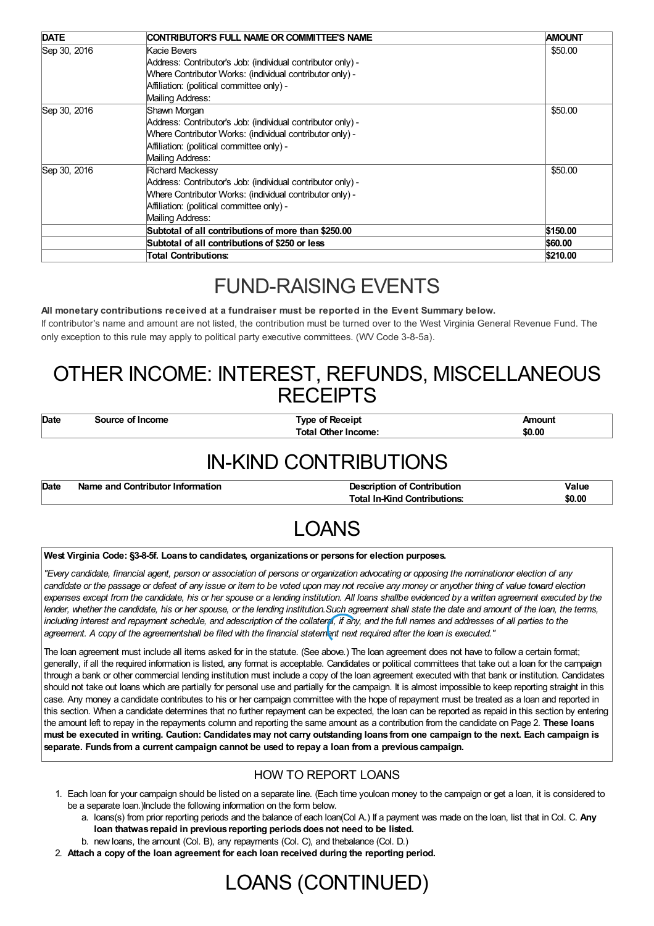| <b>DATE</b>  | CONTRIBUTOR'S FULL NAME OR COMMITTEE'S NAME                 | <b>AMOUNT</b> |
|--------------|-------------------------------------------------------------|---------------|
| Sep 30, 2016 | Kacie Bevers                                                | \$50.00       |
|              | Address: Contributor's Job: (individual contributor only) - |               |
|              | Where Contributor Works: (individual contributor only) -    |               |
|              | Affiliation: (political committee only) -                   |               |
|              | Mailing Address:                                            |               |
| Sep 30, 2016 | Shawn Morgan                                                | \$50.00       |
|              | Address: Contributor's Job: (individual contributor only) - |               |
|              | Where Contributor Works: (individual contributor only) -    |               |
|              | Affiliation: (political committee only) -                   |               |
|              | Mailing Address:                                            |               |
| Sep 30, 2016 | Richard Mackessy                                            | \$50.00       |
|              | Address: Contributor's Job: (individual contributor only) - |               |
|              | Where Contributor Works: (individual contributor only) -    |               |
|              | Affiliation: (political committee only) -                   |               |
|              | Mailing Address:                                            |               |
|              | Subtotal of all contributions of more than \$250.00         | \$150.00      |
|              | Subtotal of all contributions of \$250 or less              | \$60.00       |
|              | <b>Total Contributions:</b>                                 | \$210.00      |

## FUND-RAISING EVENTS

#### **All monetary contributions received at a fundraiser must be reported in the Event Summary below.**

If contributor's name and amount are not listed, the contribution must be turned over to the West Virginia General Revenue Fund. The only exception to this rule may apply to political party executive committees. (WV Code 3-8-5a).

### OTHER INCOME: INTEREST, REFUNDS, MISCELLANEOUS **RECEIPTS**

| Date | source of | Type of Receipt            | nount  |
|------|-----------|----------------------------|--------|
|      | * Income  | <b>Total Other Income:</b> | \$0.00 |
|      |           |                            |        |

## IN-KIND CONTRIBUTIONS

| <b>Total In-Kind Contributions:</b> | Date<br>Name and Contributor Information | Value  |
|-------------------------------------|------------------------------------------|--------|
|                                     |                                          | \$0.00 |

## LOANS

#### **West Virginia Code: §3-8-5f. Loans to candidates, organizationsor persons for election purposes.**

"Every candidate, financial agent, person or association of persons or organization advocating or opposing the nominationor election of any candidate or the passage or defeat of any issue or item to be voted upon may not receive any money or anyother thing of value toward election expenses except from the candidate, his or her spouse or a lending institution. All loans shallbe evidenced by a written agreement executed by the lender, whether the candidate, his or her spouse, or the lending institution. Such agreement shall state the date and amount of the loan, the terms, including interest and repayment schedule, and adescription of the collateral, if any, and the full names and addresses of all parties to the agreement. A copy of the agreementshall be filed with the financial statement next required after the loan is executed."

The loan agreement must include all items asked for in the statute. (See above.) The loan agreement does not have to follow a certain format; generally, if all the required information is listed, any format is acceptable. Candidates or political committees that take out a loan for the campaign through a bank or other commercial lending institution must include a copy of the loan agreement executed with that bank or institution. Candidates should not take out loans which are partially for personal use and partially for the campaign. It is almost impossible to keep reporting straight in this case. Any money a candidate contributes to his or her campaign committee with the hope of repayment must be treated as a loan and reported in this section. When a candidate determines that no further repayment can be expected, the loan can be reported as repaid in this section by entering the amount left to repay in the repayments column and reporting the same amount as a contribution from the candidate on Page 2. **These loans** must be executed in writing. Caution: Candidates may not carry outstanding loans from one campaign to the next. Each campaign is **separate. Funds from a current campaign cannot be used to repay a loan from a previous campaign.**

#### HOW TO REPORT LOANS

- 1. Each loan for your campaign should be listed on a separate line. (Each time youloan money to the campaign or get a loan, it is considered to be a separate loan.)Include the following information on the form below.
	- a. loans(s) from prior reporting periods and the balance of each loan(Col A.) If a payment was made on the loan, list that in Col. C. **Any loan thatwas repaid in previous reporting periodsdoesnot need to be listed.**
	- b. new loans, the amount (Col. B), any repayments (Col. C), and thebalance (Col. D.)
- 2. **Attach a copy of the loan agreement for each loan received during the reporting period.**

## LOANS (CONTINUED)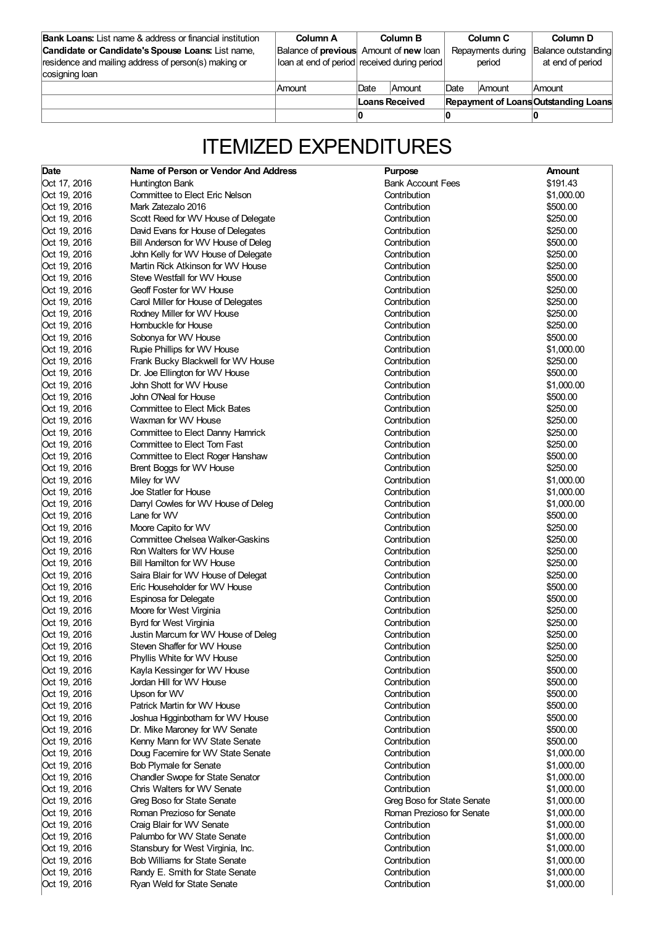| <b>Bank Loans:</b> List name & address or financial institution<br>Candidate or Candidate's Spouse Loans: List name,<br>residence and mailing address of person(s) making or<br>cosigning loan | Column A<br>Balance of previous Amount of new loan<br>loan at end of period received during period |                | Column B      |      | Column C<br>Repayments during<br>period | Column D<br>Balance outstanding<br>at end of period |
|------------------------------------------------------------------------------------------------------------------------------------------------------------------------------------------------|----------------------------------------------------------------------------------------------------|----------------|---------------|------|-----------------------------------------|-----------------------------------------------------|
|                                                                                                                                                                                                | Amount                                                                                             | <b>Date</b>    | <b>Amount</b> | Date | Amount                                  | <b>Amount</b>                                       |
|                                                                                                                                                                                                |                                                                                                    | Loans Received |               |      |                                         | <b>Repayment of Loans Outstanding Loans</b>         |
|                                                                                                                                                                                                |                                                                                                    |                |               |      |                                         |                                                     |

# ITEMIZED EXPENDITURES

| Date         | Name of Person or Vendor And Address    | <b>Purpose</b>             | <b>Amount</b> |
|--------------|-----------------------------------------|----------------------------|---------------|
| Oct 17, 2016 | Huntington Bank                         | <b>Bank Account Fees</b>   | \$191.43      |
| Oct 19, 2016 | Committee to Elect Eric Nelson          | Contribution               | \$1,000.00    |
| Oct 19, 2016 | Mark Zatezalo 2016                      | Contribution               | \$500.00      |
| Oct 19, 2016 | Scott Reed for WV House of Delegate     | Contribution               | \$250.00      |
| Oct 19, 2016 | David Evans for House of Delegates      | Contribution               | \$250.00      |
| Oct 19, 2016 | Bill Anderson for WV House of Deleg     | Contribution               | \$500.00      |
| Oct 19, 2016 | John Kelly for WV House of Delegate     | Contribution               | \$250.00      |
| Oct 19, 2016 | Martin Rick Atkinson for WV House       | Contribution               | \$250.00      |
| Oct 19, 2016 | Steve Westfall for WV House             | Contribution               | \$500.00      |
| Oct 19, 2016 | Geoff Foster for WV House               | Contribution               | \$250.00      |
| Oct 19, 2016 | Carol Miller for House of Delegates     | Contribution               | \$250.00      |
| Oct 19, 2016 | Rodney Miller for WV House              | Contribution               | \$250.00      |
| Oct 19, 2016 | Hornbuckle for House                    | Contribution               | \$250.00      |
| Oct 19, 2016 | Sobonya for WV House                    | Contribution               | \$500.00      |
| Oct 19, 2016 | Rupie Phillips for WV House             | Contribution               | \$1,000.00    |
| Oct 19, 2016 | Frank Bucky Blackwell for WV House      | Contribution               | \$250.00      |
| Oct 19, 2016 | Dr. Joe Ellington for WV House          | Contribution               | \$500.00      |
| Oct 19, 2016 | John Shott for WV House                 | Contribution               | \$1,000.00    |
| Oct 19, 2016 | John O'Neal for House                   | Contribution               | \$500.00      |
| Oct 19, 2016 | <b>Committee to Elect Mick Bates</b>    | Contribution               | \$250.00      |
|              | Waxman for WV House                     |                            | \$250.00      |
| Oct 19, 2016 |                                         | Contribution               |               |
| Oct 19, 2016 | Committee to Elect Danny Hamrick        | Contribution               | \$250.00      |
| Oct 19, 2016 | Committee to Elect Tom Fast             | Contribution               | \$250.00      |
| Oct 19, 2016 | Committee to Elect Roger Hanshaw        | Contribution               | \$500.00      |
| Oct 19, 2016 | Brent Boggs for WV House                | Contribution               | \$250.00      |
| Oct 19, 2016 | Miley for WV                            | Contribution               | \$1,000.00    |
| Oct 19, 2016 | Joe Statler for House                   | Contribution               | \$1,000.00    |
| Oct 19, 2016 | Darryl Cowles for WV House of Deleg     | Contribution               | \$1,000.00    |
| Oct 19, 2016 | Lane for WV                             | Contribution               | \$500.00      |
| Oct 19, 2016 | Moore Capito for WV                     | Contribution               | \$250.00      |
| Oct 19, 2016 | Committee Chelsea Walker-Gaskins        | Contribution               | \$250.00      |
| Oct 19, 2016 | Ron Walters for WV House                | Contribution               | \$250.00      |
| Oct 19, 2016 | Bill Hamilton for WV House              | Contribution               | \$250.00      |
| Oct 19, 2016 | Saira Blair for WV House of Delegat     | Contribution               | \$250.00      |
| Oct 19, 2016 | Eric Householder for WV House           | Contribution               | \$500.00      |
| Oct 19, 2016 | Espinosa for Delegate                   | Contribution               | \$500.00      |
| Oct 19, 2016 | Moore for West Virginia                 | Contribution               | \$250.00      |
| Oct 19, 2016 | Byrd for West Virginia                  | Contribution               | \$250.00      |
| Oct 19, 2016 | Justin Marcum for WV House of Deleg     | Contribution               | \$250.00      |
| Oct 19, 2016 | Steven Shaffer for WV House             | Contribution               | \$250.00      |
| Oct 19, 2016 | Phyllis White for WV House              | Contribution               | \$250.00      |
| Oct 19, 2016 | Kayla Kessinger for WV House            | Contribution               | \$500.00      |
| Oct 19, 2016 | Jordan Hill for WV House                | Contribution               | \$500.00      |
| Oct 19, 2016 | Upson for WV                            | Contribution               | \$500.00      |
| Oct 19, 2016 | Patrick Martin for WV House             | Contribution               | \$500.00      |
| Oct 19, 2016 | Joshua Higginbotham for WV House        | Contribution               | \$500.00      |
| Oct 19, 2016 | Dr. Mike Maroney for WV Senate          | Contribution               | \$500.00      |
| Oct 19, 2016 | Kenny Mann for WV State Senate          | Contribution               | \$500.00      |
| Oct 19, 2016 | Doug Facemire for WV State Senate       | Contribution               | \$1,000.00    |
| Oct 19, 2016 | <b>Bob Plymale for Senate</b>           | Contribution               | \$1,000.00    |
| Oct 19, 2016 | <b>Chandler Swope for State Senator</b> | Contribution               | \$1,000.00    |
| Oct 19, 2016 | Chris Walters for WV Senate             | Contribution               | \$1,000.00    |
| Oct 19, 2016 | Greg Boso for State Senate              | Greg Boso for State Senate | \$1,000.00    |
| Oct 19, 2016 | Roman Prezioso for Senate               | Roman Prezioso for Senate  | \$1,000.00    |
| Oct 19, 2016 | Craig Blair for WV Senate               | Contribution               | \$1,000.00    |
| Oct 19, 2016 | Palumbo for WV State Senate             | Contribution               | \$1,000.00    |
| Oct 19, 2016 | Stansbury for West Virginia, Inc.       | Contribution               | \$1,000.00    |
| Oct 19, 2016 | <b>Bob Williams for State Senate</b>    | Contribution               | \$1,000.00    |
| Oct 19, 2016 | Randy E. Smith for State Senate         | Contribution               | \$1,000.00    |
| Oct 19, 2016 | Ryan Weld for State Senate              | Contribution               | \$1,000.00    |